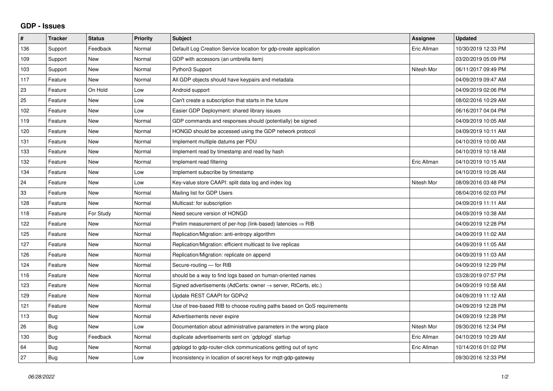## **GDP - Issues**

| $\#$ | <b>Tracker</b> | <b>Status</b> | <b>Priority</b> | <b>Subject</b>                                                             | Assignee    | <b>Updated</b>      |
|------|----------------|---------------|-----------------|----------------------------------------------------------------------------|-------------|---------------------|
| 136  | Support        | Feedback      | Normal          | Default Log Creation Service location for gdp-create application           | Eric Allman | 10/30/2019 12:33 PM |
| 109  | Support        | <b>New</b>    | Normal          | GDP with accessors (an umbrella item)                                      |             | 03/20/2019 05:09 PM |
| 103  | Support        | <b>New</b>    | Normal          | Python3 Support                                                            | Nitesh Mor  | 06/11/2017 09:49 PM |
| 117  | Feature        | <b>New</b>    | Normal          | All GDP objects should have keypairs and metadata                          |             | 04/09/2019 09:47 AM |
| 23   | Feature        | On Hold       | Low             | Android support                                                            |             | 04/09/2019 02:06 PM |
| 25   | Feature        | <b>New</b>    | Low             | Can't create a subscription that starts in the future                      |             | 08/02/2016 10:29 AM |
| 102  | Feature        | <b>New</b>    | Low             | Easier GDP Deployment: shared library issues                               |             | 06/16/2017 04:04 PM |
| 119  | Feature        | New           | Normal          | GDP commands and responses should (potentially) be signed                  |             | 04/09/2019 10:05 AM |
| 120  | Feature        | <b>New</b>    | Normal          | HONGD should be accessed using the GDP network protocol                    |             | 04/09/2019 10:11 AM |
| 131  | Feature        | <b>New</b>    | Normal          | Implement multiple datums per PDU                                          |             | 04/10/2019 10:00 AM |
| 133  | Feature        | <b>New</b>    | Normal          | Implement read by timestamp and read by hash                               |             | 04/10/2019 10:18 AM |
| 132  | Feature        | <b>New</b>    | Normal          | Implement read filtering                                                   | Eric Allman | 04/10/2019 10:15 AM |
| 134  | Feature        | <b>New</b>    | Low             | Implement subscribe by timestamp                                           |             | 04/10/2019 10:26 AM |
| 24   | Feature        | <b>New</b>    | Low             | Key-value store CAAPI: split data log and index log                        | Nitesh Mor  | 08/09/2016 03:48 PM |
| 33   | Feature        | <b>New</b>    | Normal          | Mailing list for GDP Users                                                 |             | 08/04/2016 02:03 PM |
| 128  | Feature        | New           | Normal          | Multicast: for subscription                                                |             | 04/09/2019 11:11 AM |
| 118  | Feature        | For Study     | Normal          | Need secure version of HONGD                                               |             | 04/09/2019 10:38 AM |
| 122  | Feature        | <b>New</b>    | Normal          | Prelim measurement of per-hop (link-based) latencies $\Rightarrow$ RIB     |             | 04/09/2019 12:28 PM |
| 125  | Feature        | <b>New</b>    | Normal          | Replication/Migration: anti-entropy algorithm                              |             | 04/09/2019 11:02 AM |
| 127  | Feature        | <b>New</b>    | Normal          | Replication/Migration: efficient multicast to live replicas                |             | 04/09/2019 11:05 AM |
| 126  | Feature        | <b>New</b>    | Normal          | Replication/Migration: replicate on append                                 |             | 04/09/2019 11:03 AM |
| 124  | Feature        | <b>New</b>    | Normal          | Secure-routing - for RIB                                                   |             | 04/09/2019 12:29 PM |
| 116  | Feature        | <b>New</b>    | Normal          | should be a way to find logs based on human-oriented names                 |             | 03/28/2019 07:57 PM |
| 123  | Feature        | New           | Normal          | Signed advertisements (AdCerts: owner $\rightarrow$ server, RtCerts, etc.) |             | 04/09/2019 10:58 AM |
| 129  | Feature        | <b>New</b>    | Normal          | Update REST CAAPI for GDPv2                                                |             | 04/09/2019 11:12 AM |
| 121  | Feature        | <b>New</b>    | Normal          | Use of tree-based RIB to choose routing paths based on QoS requirements    |             | 04/09/2019 12:28 PM |
| 113  | Bug            | <b>New</b>    | Normal          | Advertisements never expire                                                |             | 04/09/2019 12:28 PM |
| 26   | Bug            | <b>New</b>    | Low             | Documentation about administrative parameters in the wrong place           | Nitesh Mor  | 09/30/2016 12:34 PM |
| 130  | Bug            | Feedback      | Normal          | duplicate advertisements sent on `gdplogd` startup                         | Eric Allman | 04/10/2019 10:29 AM |
| 64   | <b>Bug</b>     | <b>New</b>    | Normal          | gdplogd to gdp-router-click communications getting out of sync             | Eric Allman | 10/14/2016 01:02 PM |
| 27   | <b>Bug</b>     | <b>New</b>    | Low             | Inconsistency in location of secret keys for mgtt-gdp-gateway              |             | 09/30/2016 12:33 PM |